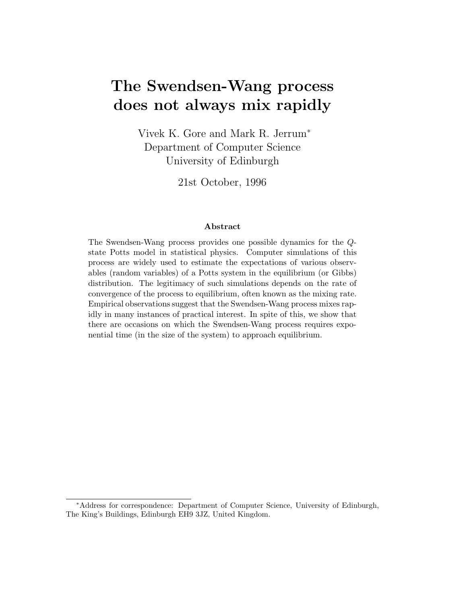# **The Swendsen-Wang process does not always mix rapidly**

Vivek K. Gore and Mark R. Jerrum*<sup>∗</sup>* Department of Computer Science University of Edinburgh

21st October, 1996

#### **Abstract**

The Swendsen-Wang process provides one possible dynamics for the Qstate Potts model in statistical physics. Computer simulations of this process are widely used to estimate the expectations of various observables (random variables) of a Potts system in the equilibrium (or Gibbs) distribution. The legitimacy of such simulations depends on the rate of convergence of the process to equilibrium, often known as the mixing rate. Empirical observations suggest that the Swendsen-Wang process mixes rapidly in many instances of practical interest. In spite of this, we show that there are occasions on which the Swendsen-Wang process requires exponential time (in the size of the system) to approach equilibrium.

<sup>∗</sup>Address for correspondence: Department of Computer Science, University of Edinburgh, The King's Buildings, Edinburgh EH9 3JZ, United Kingdom.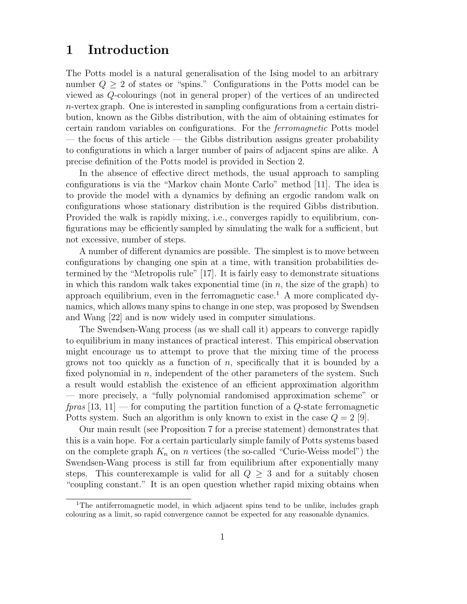## **1 Introduction**

The Potts model is a natural generalisation of the Ising model to an arbitrary number  $Q \geq 2$  of states or "spins." Configurations in the Potts model can be viewed as Q-colourings (not in general proper) of the vertices of an undirected n-vertex graph. One is interested in sampling configurations from a certain distribution, known as the Gibbs distribution, with the aim of obtaining estimates for certain random variables on configurations. For the ferromagnetic Potts model — the focus of this article — the Gibbs distribution assigns greater probability to configurations in which a larger number of pairs of adjacent spins are alike. A precise definition of the Potts model is provided in Section 2.

In the absence of effective direct methods, the usual approach to sampling configurations is via the "Markov chain Monte Carlo" method [11]. The idea is to provide the model with a dynamics by defining an ergodic random walk on configurations whose stationary distribution is the required Gibbs distribution. Provided the walk is rapidly mixing, i.e., converges rapidly to equilibrium, configurations may be efficiently sampled by simulating the walk for a sufficient, but not excessive, number of steps.

A number of different dynamics are possible. The simplest is to move between configurations by changing one spin at a time, with transition probabilities determined by the "Metropolis rule" [17]. It is fairly easy to demonstrate situations in which this random walk takes exponential time (in  $n$ , the size of the graph) to approach equilibrium, even in the ferromagnetic case.<sup>1</sup> A more complicated dynamics, which allows many spins to change in one step, was proposed by Swendsen and Wang [22] and is now widely used in computer simulations.

The Swendsen-Wang process (as we shall call it) appears to converge rapidly to equilibrium in many instances of practical interest. This empirical observation might encourage us to attempt to prove that the mixing time of the process grows not too quickly as a function of  $n$ , specifically that it is bounded by a fixed polynomial in  $n$ , independent of the other parameters of the system. Such a result would establish the existence of an efficient approximation algorithm — more precisely, a "fully polynomial randomised approximation scheme" or fpras  $[13, 11]$  — for computing the partition function of a Q-state ferromagnetic Potts system. Such an algorithm is only known to exist in the case  $Q = 2$  [9].

Our main result (see Proposition 7 for a precise statement) demonstrates that this is a vain hope. For a certain particularly simple family of Potts systems based on the complete graph  $K_n$  on n vertices (the so-called "Curie-Weiss model") the Swendsen-Wang process is still far from equilibrium after exponentially many steps. This counterexample is valid for all  $Q \geq 3$  and for a suitably chosen "coupling constant." It is an open question whether rapid mixing obtains when

<sup>&</sup>lt;sup>1</sup>The antiferromagnetic model, in which adjacent spins tend to be unlike, includes graph colouring as a limit, so rapid convergence cannot be expected for any reasonable dynamics.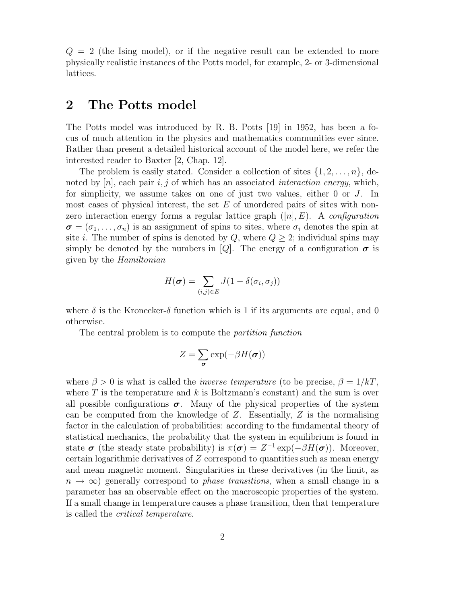$Q = 2$  (the Ising model), or if the negative result can be extended to more physically realistic instances of the Potts model, for example, 2- or 3-dimensional lattices.

## **2 The Potts model**

The Potts model was introduced by R. B. Potts [19] in 1952, has been a focus of much attention in the physics and mathematics communities ever since. Rather than present a detailed historical account of the model here, we refer the interested reader to Baxter [2, Chap. 12].

The problem is easily stated. Consider a collection of sites *{*1, 2,...,n*}*, denoted by  $[n]$ , each pair i, j of which has an associated *interaction energy*, which, for simplicity, we assume takes on one of just two values, either 0 or J. In most cases of physical interest, the set  $E$  of unordered pairs of sites with nonzero interaction energy forms a regular lattice graph  $([n], E)$ . A *configuration*  $\sigma = (\sigma_1, \ldots, \sigma_n)$  is an assignment of spins to sites, where  $\sigma_i$  denotes the spin at site *i*. The number of spins is denoted by  $Q$ , where  $Q \geq 2$ ; individual spins may simply be denoted by the numbers in [Q]. The energy of a configuration  $\sigma$  is given by the Hamiltonian

$$
H(\boldsymbol{\sigma}) = \sum_{(i,j)\in E} J(1 - \delta(\sigma_i, \sigma_j))
$$

where  $\delta$  is the Kronecker- $\delta$  function which is 1 if its arguments are equal, and 0 otherwise.

The central problem is to compute the partition function

$$
Z = \sum_{\pmb{\sigma}} \exp(-\beta H(\pmb{\sigma}))
$$

where  $\beta > 0$  is what is called the *inverse temperature* (to be precise,  $\beta = 1/kT$ , where  $T$  is the temperature and k is Boltzmann's constant) and the sum is over all possible configurations  $\sigma$ . Many of the physical properties of the system can be computed from the knowledge of  $Z$ . Essentially,  $Z$  is the normalising factor in the calculation of probabilities: according to the fundamental theory of statistical mechanics, the probability that the system in equilibrium is found in state  $\sigma$  (the steady state probability) is  $\pi(\sigma) = Z^{-1} \exp(-\beta H(\sigma))$ . Moreover, certain logarithmic derivatives of Z correspond to quantities such as mean energy and mean magnetic moment. Singularities in these derivatives (in the limit, as  $n \to \infty$ ) generally correspond to *phase transitions*, when a small change in a parameter has an observable effect on the macroscopic properties of the system. If a small change in temperature causes a phase transition, then that temperature is called the critical temperature.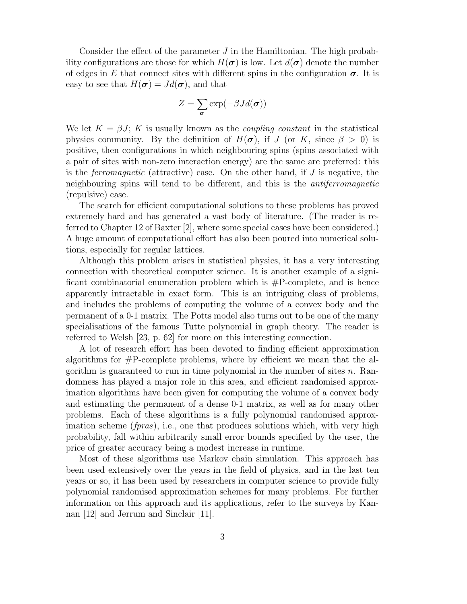Consider the effect of the parameter  $J$  in the Hamiltonian. The high probability configurations are those for which  $H(\sigma)$  is low. Let  $d(\sigma)$  denote the number of edges in E that connect sites with different spins in the configuration  $\sigma$ . It is easy to see that  $H(\sigma) = Jd(\sigma)$ , and that

$$
Z = \sum_{\boldsymbol{\sigma}} \exp(-\beta J d(\boldsymbol{\sigma}))
$$

We let  $K = \beta J$ ; K is usually known as the *coupling constant* in the statistical physics community. By the definition of  $H(\sigma)$ , if J (or K, since  $\beta > 0$ ) is positive, then configurations in which neighbouring spins (spins associated with a pair of sites with non-zero interaction energy) are the same are preferred: this is the *ferromagnetic* (attractive) case. On the other hand, if  $J$  is negative, the neighbouring spins will tend to be different, and this is the antiferromagnetic (repulsive) case.

The search for efficient computational solutions to these problems has proved extremely hard and has generated a vast body of literature. (The reader is referred to Chapter 12 of Baxter [2], where some special cases have been considered.) A huge amount of computational effort has also been poured into numerical solutions, especially for regular lattices.

Although this problem arises in statistical physics, it has a very interesting connection with theoretical computer science. It is another example of a significant combinatorial enumeration problem which is  $\#P$ -complete, and is hence apparently intractable in exact form. This is an intriguing class of problems, and includes the problems of computing the volume of a convex body and the permanent of a 0-1 matrix. The Potts model also turns out to be one of the many specialisations of the famous Tutte polynomial in graph theory. The reader is referred to Welsh [23, p. 62] for more on this interesting connection.

A lot of research effort has been devoted to finding efficient approximation algorithms for  $\#P$ -complete problems, where by efficient we mean that the algorithm is guaranteed to run in time polynomial in the number of sites  $n$ . Randomness has played a major role in this area, and efficient randomised approximation algorithms have been given for computing the volume of a convex body and estimating the permanent of a dense 0-1 matrix, as well as for many other problems. Each of these algorithms is a fully polynomial randomised approximation scheme (*fpras*), i.e., one that produces solutions which, with very high probability, fall within arbitrarily small error bounds specified by the user, the price of greater accuracy being a modest increase in runtime.

Most of these algorithms use Markov chain simulation. This approach has been used extensively over the years in the field of physics, and in the last ten years or so, it has been used by researchers in computer science to provide fully polynomial randomised approximation schemes for many problems. For further information on this approach and its applications, refer to the surveys by Kannan [12] and Jerrum and Sinclair [11].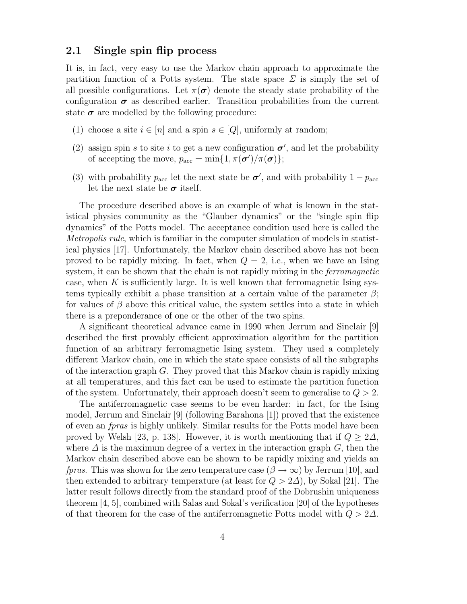## **2.1 Single spin flip process**

It is, in fact, very easy to use the Markov chain approach to approximate the partition function of a Potts system. The state space  $\Sigma$  is simply the set of all possible configurations. Let  $\pi(\sigma)$  denote the steady state probability of the configuration  $\sigma$  as described earlier. Transition probabilities from the current state  $\sigma$  are modelled by the following procedure:

- (1) choose a site  $i \in [n]$  and a spin  $s \in [Q]$ , uniformly at random;
- (2) assign spin s to site i to get a new configuration  $\sigma'$ , and let the probability of accepting the move,  $p_{\text{acc}} = \min\{1, \pi(\boldsymbol{\sigma}')/\pi(\boldsymbol{\sigma})\};$
- (3) with probability  $p_{\text{acc}}$  let the next state be  $\sigma'$ , and with probability  $1 p_{\text{acc}}$ let the next state be  $\sigma$  itself.

The procedure described above is an example of what is known in the statistical physics community as the "Glauber dynamics" or the "single spin flip dynamics" of the Potts model. The acceptance condition used here is called the Metropolis rule, which is familiar in the computer simulation of models in statistical physics [17]. Unfortunately, the Markov chain described above has not been proved to be rapidly mixing. In fact, when  $Q = 2$ , i.e., when we have an Ising system, it can be shown that the chain is not rapidly mixing in the *ferromagnetic* case, when K is sufficiently large. It is well known that ferromagnetic Ising systems typically exhibit a phase transition at a certain value of the parameter  $\beta$ ; for values of  $\beta$  above this critical value, the system settles into a state in which there is a preponderance of one or the other of the two spins.

A significant theoretical advance came in 1990 when Jerrum and Sinclair [9] described the first provably efficient approximation algorithm for the partition function of an arbitrary ferromagnetic Ising system. They used a completely different Markov chain, one in which the state space consists of all the subgraphs of the interaction graph  $G$ . They proved that this Markov chain is rapidly mixing at all temperatures, and this fact can be used to estimate the partition function of the system. Unfortunately, their approach doesn't seem to generalise to  $Q > 2$ .

The antiferromagnetic case seems to be even harder: in fact, for the Ising model, Jerrum and Sinclair [9] (following Barahona [1]) proved that the existence of even an fpras is highly unlikely. Similar results for the Potts model have been proved by Welsh [23, p. 138]. However, it is worth mentioning that if  $Q \geq 2\Delta$ , where  $\Delta$  is the maximum degree of a vertex in the interaction graph G, then the Markov chain described above can be shown to be rapidly mixing and yields an *fpras.* This was shown for the zero temperature case  $(\beta \to \infty)$  by Jerrum [10], and then extended to arbitrary temperature (at least for  $Q > 2\Delta$ ), by Sokal [21]. The latter result follows directly from the standard proof of the Dobrushin uniqueness theorem [4, 5], combined with Salas and Sokal's verification [20] of the hypotheses of that theorem for the case of the antiferromagnetic Potts model with  $Q > 2\Delta$ .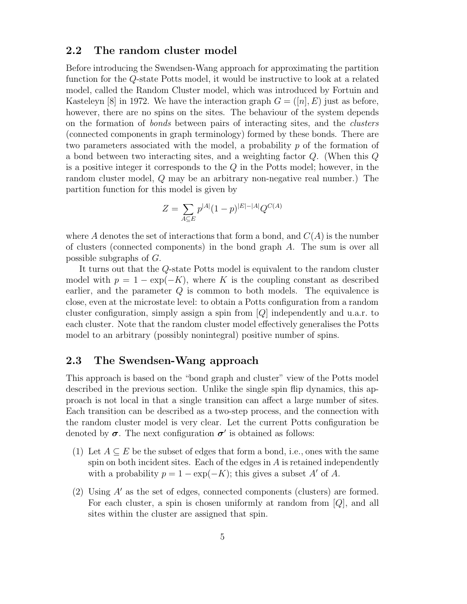### **2.2 The random cluster model**

Before introducing the Swendsen-Wang approach for approximating the partition function for the Q-state Potts model, it would be instructive to look at a related model, called the Random Cluster model, which was introduced by Fortuin and Kasteleyn [8] in 1972. We have the interaction graph  $G = ([n], E)$  just as before, however, there are no spins on the sites. The behaviour of the system depends on the formation of bonds between pairs of interacting sites, and the clusters (connected components in graph terminology) formed by these bonds. There are two parameters associated with the model, a probability p of the formation of a bond between two interacting sites, and a weighting factor Q. (When this Q is a positive integer it corresponds to the  $Q$  in the Potts model; however, in the random cluster model, Q may be an arbitrary non-negative real number.) The partition function for this model is given by

$$
Z = \sum_{A \subseteq E} p^{|A|} (1 - p)^{|E| - |A|} Q^{C(A)}
$$

where A denotes the set of interactions that form a bond, and  $C(A)$  is the number of clusters (connected components) in the bond graph A. The sum is over all possible subgraphs of G.

It turns out that the Q-state Potts model is equivalent to the random cluster model with  $p = 1 - \exp(-K)$ , where K is the coupling constant as described earlier, and the parameter Q is common to both models. The equivalence is close, even at the microstate level: to obtain a Potts configuration from a random cluster configuration, simply assign a spin from  $|Q|$  independently and u.a.r. to each cluster. Note that the random cluster model effectively generalises the Potts model to an arbitrary (possibly nonintegral) positive number of spins.

## **2.3 The Swendsen-Wang approach**

This approach is based on the "bond graph and cluster" view of the Potts model described in the previous section. Unlike the single spin flip dynamics, this approach is not local in that a single transition can affect a large number of sites. Each transition can be described as a two-step process, and the connection with the random cluster model is very clear. Let the current Potts configuration be denoted by  $\sigma$ . The next configuration  $\sigma'$  is obtained as follows:

- (1) Let  $A \subseteq E$  be the subset of edges that form a bond, i.e., ones with the same spin on both incident sites. Each of the edges in  $A$  is retained independently with a probability  $p = 1 - \exp(-K)$ ; this gives a subset A' of A.
- (2) Using  $A'$  as the set of edges, connected components (clusters) are formed. For each cluster, a spin is chosen uniformly at random from  $[Q]$ , and all sites within the cluster are assigned that spin.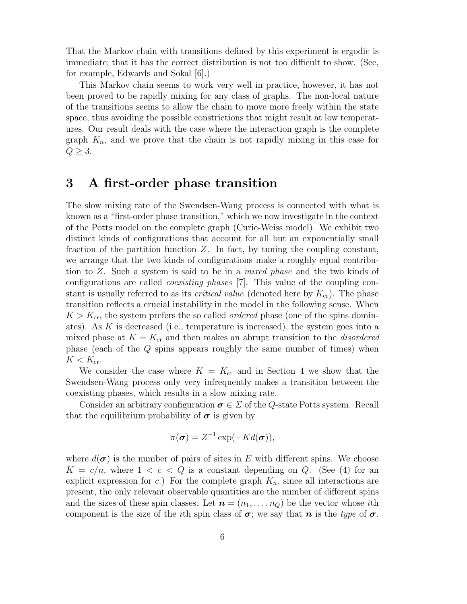That the Markov chain with transitions defined by this experiment is ergodic is immediate; that it has the correct distribution is not too difficult to show. (See, for example, Edwards and Sokal [6].)

This Markov chain seems to work very well in practice, however, it has not been proved to be rapidly mixing for any class of graphs. The non-local nature of the transitions seems to allow the chain to move more freely within the state space, thus avoiding the possible constrictions that might result at low temperatures. Our result deals with the case where the interaction graph is the complete graph  $K_n$ , and we prove that the chain is not rapidly mixing in this case for  $Q \geq 3$ .

## **3 A first-order phase transition**

The slow mixing rate of the Swendsen-Wang process is connected with what is known as a "first-order phase transition," which we now investigate in the context of the Potts model on the complete graph (Curie-Weiss model). We exhibit two distinct kinds of configurations that account for all but an exponentially small fraction of the partition function  $Z$ . In fact, by tuning the coupling constant, we arrange that the two kinds of configurations make a roughly equal contribution to Z. Such a system is said to be in a mixed phase and the two kinds of configurations are called coexisting phases [7]. This value of the coupling constant is usually referred to as its *critical value* (denoted here by  $K_{cr}$ ). The phase transition reflects a crucial instability in the model in the following sense. When  $K > K_{cr}$ , the system prefers the so called *ordered* phase (one of the spins dominates). As K is decreased (i.e., temperature is increased), the system goes into a mixed phase at  $K = K_{cr}$  and then makes an abrupt transition to the *disordered* phase (each of the Q spins appears roughly the same number of times) when  $K < K_{\rm cr}.$ 

We consider the case where  $K = K_{cr}$  and in Section 4 we show that the Swendsen-Wang process only very infrequently makes a transition between the coexisting phases, which results in a slow mixing rate.

Consider an arbitrary configuration  $\sigma \in \Sigma$  of the Q-state Potts system. Recall that the equilibrium probability of  $\sigma$  is given by

$$
\pi(\boldsymbol{\sigma}) = Z^{-1} \exp(-Kd(\boldsymbol{\sigma})),
$$

where  $d(\boldsymbol{\sigma})$  is the number of pairs of sites in E with different spins. We choose  $K = c/n$ , where  $1 < c < Q$  is a constant depending on Q. (See (4) for an explicit expression for c.) For the complete graph  $K_n$ , since all interactions are present, the only relevant observable quantities are the number of different spins and the sizes of these spin classes. Let  $\mathbf{n} = (n_1, \ldots, n_Q)$  be the vector whose *i*th component is the size of the *i*th spin class of  $\sigma$ ; we say that *n* is the type of  $\sigma$ .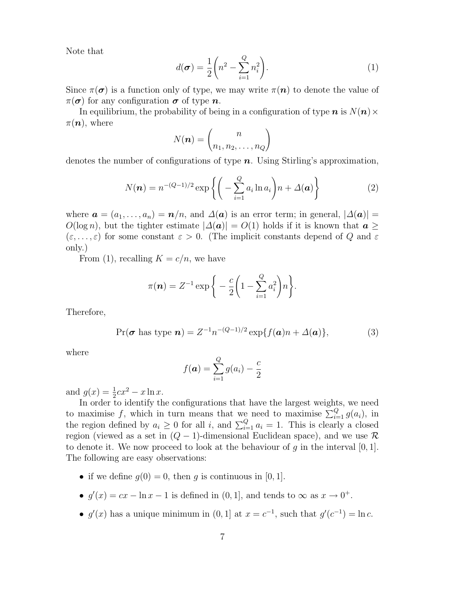Note that

$$
d(\boldsymbol{\sigma}) = \frac{1}{2} \left( n^2 - \sum_{i=1}^{Q} n_i^2 \right).
$$
 (1)

Since  $\pi(\sigma)$  is a function only of type, we may write  $\pi(n)$  to denote the value of  $\pi(\sigma)$  for any configuration  $\sigma$  of type *n*.

In equilibrium, the probability of being in a configuration of type  $n$  is  $N(n) \times$  $\pi(\mathbf{n})$ , where

$$
N(\boldsymbol{n}) = \binom{n}{n_1, n_2, \dots, n_Q}
$$

denotes the number of configurations of type *n*. Using Stirling's approximation,

$$
N(\boldsymbol{n}) = n^{-(Q-1)/2} \exp\left\{ \left( -\sum_{i=1}^{Q} a_i \ln a_i \right) n + \Delta(\boldsymbol{a}) \right\} \tag{2}
$$

where  $\mathbf{a} = (a_1, \ldots, a_n) = \mathbf{n}/n$ , and  $\Delta(\mathbf{a})$  is an error term; in general,  $|\Delta(\mathbf{a})|$  $O(\log n)$ , but the tighter estimate  $|\Delta(\boldsymbol{a})| = O(1)$  holds if it is known that  $\boldsymbol{a} \geq 0$  $(\varepsilon, \ldots, \varepsilon)$  for some constant  $\varepsilon > 0$ . (The implicit constants depend of Q and  $\varepsilon$ only.)

From (1), recalling  $K = c/n$ , we have

$$
\pi(\boldsymbol{n}) = Z^{-1} \exp\bigg\{-\frac{c}{2}\bigg(1-\sum_{i=1}^Q a_i^2\bigg)n\bigg\}.
$$

Therefore,

$$
\Pr(\boldsymbol{\sigma} \text{ has type } \boldsymbol{n}) = Z^{-1} n^{-(Q-1)/2} \exp\{f(\boldsymbol{a})n + \Delta(\boldsymbol{a})\},\tag{3}
$$

where

$$
f(\boldsymbol{a}) = \sum_{i=1}^{Q} g(a_i) - \frac{c}{2}
$$

and  $g(x) = \frac{1}{2}cx^2 - x \ln x$ .

In order to identify the configurations that have the largest weights, we need to maximise f, which in turn means that we need to maximise  $\sum_{i=1}^{Q} g(a_i)$ , in the region defined by  $a_i \geq 0$  for all i, and  $\sum_{i=1}^{Q} a_i = 1$ . This is clearly a closed region (viewed as a set in (Q *−* 1)-dimensional Euclidean space), and we use *R* to denote it. We now proceed to look at the behaviour of  $q$  in the interval  $[0, 1]$ . The following are easy observations:

- if we define  $q(0) = 0$ , then q is continuous in [0, 1].
- $g'(x) = cx \ln x 1$  is defined in  $(0, 1]$ , and tends to  $\infty$  as  $x \to 0^+$ .
- $g'(x)$  has a unique minimum in  $(0, 1]$  at  $x = c^{-1}$ , such that  $g'(c^{-1}) = \ln c$ .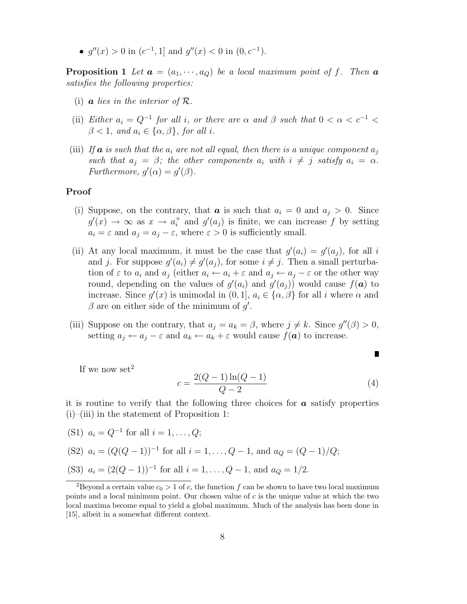•  $q''(x) > 0$  in  $(c^{-1}, 1]$  and  $q''(x) < 0$  in  $(0, c^{-1})$ .

**Proposition 1** Let  $\mathbf{a} = (a_1, \dots, a_O)$  be a local maximum point of f. Then  $\mathbf{a}$ satisfies the following properties:

- (i)  $\boldsymbol{a}$  lies in the interior of  $\mathcal{R}$ .
- (ii) Either  $a_i = Q^{-1}$  for all i, or there are  $\alpha$  and  $\beta$  such that  $0 < \alpha < c^{-1}$  $\beta < 1$ , and  $a_i \in {\alpha, \beta}$ , for all i.
- (iii) If **a** is such that the  $a_i$  are not all equal, then there is a unique component  $a_i$ such that  $a_j = \beta$ ; the other components  $a_i$  with  $i \neq j$  satisfy  $a_i = \alpha$ . Furthermore,  $g'(\alpha) = g'(\beta)$ .

#### **Proof**

- (i) Suppose, on the contrary, that  $a_i$  is such that  $a_i = 0$  and  $a_j > 0$ . Since  $g'(x) \to \infty$  as  $x \to a_i^+$  and  $g'(a_j)$  is finite, we can increase f by setting  $a_i = \varepsilon$  and  $a_j = a_j - \varepsilon$ , where  $\varepsilon > 0$  is sufficiently small.
- (ii) At any local maximum, it must be the case that  $g'(a_i) = g'(a_j)$ , for all i and j. For suppose  $g'(a_i) \neq g'(a_j)$ , for some  $i \neq j$ . Then a small perturbation of  $\varepsilon$  to  $a_i$  and  $a_j$  (either  $a_i \leftarrow a_i + \varepsilon$  and  $a_j \leftarrow a_j - \varepsilon$  or the other way round, depending on the values of  $g'(a_i)$  and  $g'(a_j)$ ) would cause  $f(\boldsymbol{a})$  to increase. Since  $g'(x)$  is unimodal in  $(0, 1], a_i \in {\alpha, \beta}$  for all i where  $\alpha$  and  $\beta$  are on either side of the minimum of  $g'$ .
- (iii) Suppose on the contrary, that  $a_j = a_k = \beta$ , where  $j \neq k$ . Since  $g''(\beta) > 0$ , setting  $a_j \leftarrow a_j - \varepsilon$  and  $a_k \leftarrow a_k + \varepsilon$  would cause  $f(\boldsymbol{a})$  to increase.

If we now set<sup>2</sup>

$$
c = \frac{2(Q-1)\ln(Q-1)}{Q-2}
$$
\n(4)

П

it is routine to verify that the following three choices for *a* satisfy properties  $(i)$ – $(i)$ iii) in the statement of Proposition 1:

(S1) 
$$
a_i = Q^{-1}
$$
 for all  $i = 1, ..., Q$ ;

(S2) 
$$
a_i = (Q(Q-1))^{-1}
$$
 for all  $i = 1, ..., Q - 1$ , and  $a_Q = (Q-1)/Q$ ;  
(S3)  $a_i = (2(Q-1))^{-1}$  for all  $i = 1, ..., Q - 1$ , and  $a_Q = 1/2$ .

<sup>&</sup>lt;sup>2</sup>Beyond a certain value  $c_0 > 1$  of c, the function f can be shown to have two local maximum points and a local minimum point. Our chosen value of c is the unique value at which the two local maxima become equal to yield a global maximum. Much of the analysis has been done in [15], albeit in a somewhat different context.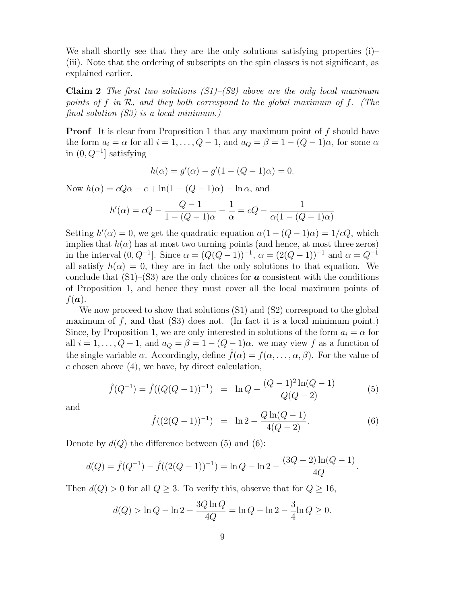We shall shortly see that they are the only solutions satisfying properties (i)– (iii). Note that the ordering of subscripts on the spin classes is not significant, as explained earlier.

**Claim 2** The first two solutions  $(S1)$ – $(S2)$  above are the only local maximum points of f in *R*, and they both correspond to the global maximum of f. (The final solution  $(S3)$  is a local minimum.)

**Proof** It is clear from Proposition 1 that any maximum point of f should have the form  $a_i = \alpha$  for all  $i = 1, \ldots, Q - 1$ , and  $a_Q = \beta = 1 - (Q - 1)\alpha$ , for some  $\alpha$ in (0, Q*−*<sup>1</sup>] satisfying

$$
h(\alpha) = g'(\alpha) - g'(1 - (Q - 1)\alpha) = 0.
$$

Now  $h(\alpha) = cQ\alpha - c + \ln(1 - (Q - 1)\alpha) - \ln \alpha$ , and

$$
h'(\alpha) = cQ - \frac{Q - 1}{1 - (Q - 1)\alpha} - \frac{1}{\alpha} = cQ - \frac{1}{\alpha(1 - (Q - 1)\alpha)}
$$

Setting  $h'(\alpha) = 0$ , we get the quadratic equation  $\alpha(1 - (Q - 1)\alpha) = 1/cQ$ , which implies that  $h(\alpha)$  has at most two turning points (and hence, at most three zeros) in the interval  $(0, Q^{-1}]$ . Since  $\alpha = (Q(Q-1))^{-1}$ ,  $\alpha = (2(Q-1))^{-1}$  and  $\alpha = Q^{-1}$ all satisfy  $h(\alpha) = 0$ , they are in fact the only solutions to that equation. We conclude that  $(S1)$ – $(S3)$  are the only choices for **a** consistent with the conditions of Proposition 1, and hence they must cover all the local maximum points of  $f(\boldsymbol{a})$ .

We now proceed to show that solutions (S1) and (S2) correspond to the global maximum of  $f$ , and that  $(S3)$  does not. (In fact it is a local minimum point.) Since, by Proposition 1, we are only interested in solutions of the form  $a_i = \alpha$  for all  $i = 1, \ldots, Q - 1$ , and  $a_Q = \beta = 1 - (Q - 1)\alpha$ . we may view f as a function of the single variable  $\alpha$ . Accordingly, define  $f(\alpha) = f(\alpha, \ldots, \alpha, \beta)$ . For the value of  $c$  chosen above  $(4)$ , we have, by direct calculation,

$$
\hat{f}(Q^{-1}) = \hat{f}((Q(Q-1))^{-1}) = \ln Q - \frac{(Q-1)^2 \ln(Q-1)}{Q(Q-2)}
$$
(5)

and

$$
\hat{f}((2(Q-1))^{-1}) = \ln 2 - \frac{Q \ln(Q-1)}{4(Q-2)}.
$$
\n(6)

Denote by  $d(Q)$  the difference between (5) and (6):

$$
d(Q) = \hat{f}(Q^{-1}) - \hat{f}((2(Q-1))^{-1}) = \ln Q - \ln 2 - \frac{(3Q-2)\ln(Q-1)}{4Q}.
$$

Then  $d(Q) > 0$  for all  $Q \geq 3$ . To verify this, observe that for  $Q \geq 16$ ,

$$
d(Q) > \ln Q - \ln 2 - \frac{3Q \ln Q}{4Q} = \ln Q - \ln 2 - \frac{3}{4} \ln Q \ge 0.
$$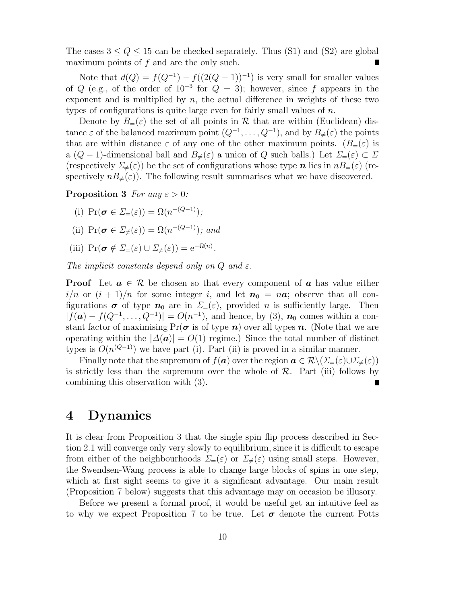The cases  $3 \le Q \le 15$  can be checked separately. Thus (S1) and (S2) are global maximum points of f and are the only such.

Note that  $d(Q) = f(Q^{-1}) - f((2(Q-1))^{-1})$  is very small for smaller values of Q (e.g., of the order of  $10^{-3}$  for  $Q = 3$ ); however, since f appears in the exponent and is multiplied by  $n$ , the actual difference in weights of these two types of configurations is quite large even for fairly small values of  $n$ .

Denote by  $B_=(\varepsilon)$  the set of all points in  $\mathcal R$  that are within (Euclidean) distance  $\varepsilon$  of the balanced maximum point  $(Q^{-1}, \ldots, Q^{-1})$ , and by  $B_{\neq}(\varepsilon)$  the points that are within distance  $\varepsilon$  of any one of the other maximum points.  $(B_=(\varepsilon))$  is a ( $Q - 1$ )-dimensional ball and  $B_{\neq}(\varepsilon)$  a union of Q such balls.) Let  $\Sigma_{=}(\varepsilon) \subset \Sigma$ (respectively  $\Sigma_{\neq}(\varepsilon)$ ) be the set of configurations whose type *n* lies in  $nB_{=}(\varepsilon)$  (respectively  $nB_{\neq}(\varepsilon)$ . The following result summarises what we have discovered.

**Proposition 3** For any  $\varepsilon > 0$ :

- (i)  $\Pr(\sigma \in \Sigma_{=}(\varepsilon)) = \Omega(n^{-(Q-1)})$ ;
- (ii)  $Pr(\sigma \in \Sigma_{\neq}(\varepsilon)) = \Omega(n^{-(Q-1)})$ ; and
- (iii)  $\Pr(\sigma \notin \Sigma_{=}(\varepsilon) \cup \Sigma_{\neq}(\varepsilon)) = e^{-\Omega(n)}$ .

The implicit constants depend only on  $Q$  and  $\varepsilon$ .

**Proof** Let  $a \in \mathcal{R}$  be chosen so that every component of  $a$  has value either  $i/n$  or  $(i + 1)/n$  for some integer i, and let  $n_0 = n\alpha$ ; observe that all configurations  $\sigma$  of type  $n_0$  are in  $\Sigma=(\varepsilon)$ , provided n is sufficiently large. Then  $|f(\mathbf{a}) - f(Q^{-1}, \ldots, Q^{-1})| = O(n^{-1})$ , and hence, by (3),  $\mathbf{n}_0$  comes within a constant factor of maximising  $Pr(\sigma \text{ is of type } n)$  over all types *n*. (Note that we are operating within the  $|\Delta(\mathbf{a})| = O(1)$  regime.) Since the total number of distinct types is  $O(n^{(Q-1)})$  we have part (i). Part (ii) is proved in a similar manner.

Finally note that the supremum of  $f(\boldsymbol{a})$  over the region  $\boldsymbol{a} \in \mathcal{R} \setminus (\Sigma_{=}(\varepsilon) \cup \Sigma_{\neq}(\varepsilon))$ is strictly less than the supremum over the whole of *R*. Part (iii) follows by combining this observation with (3).

## **4 Dynamics**

It is clear from Proposition 3 that the single spin flip process described in Section 2.1 will converge only very slowly to equilibrium, since it is difficult to escape from either of the neighbourhoods  $\Sigma_{=}(\varepsilon)$  or  $\Sigma_{\neq}(\varepsilon)$  using small steps. However, the Swendsen-Wang process is able to change large blocks of spins in one step, which at first sight seems to give it a significant advantage. Our main result (Proposition 7 below) suggests that this advantage may on occasion be illusory.

Before we present a formal proof, it would be useful get an intuitive feel as to why we expect Proposition 7 to be true. Let  $\sigma$  denote the current Potts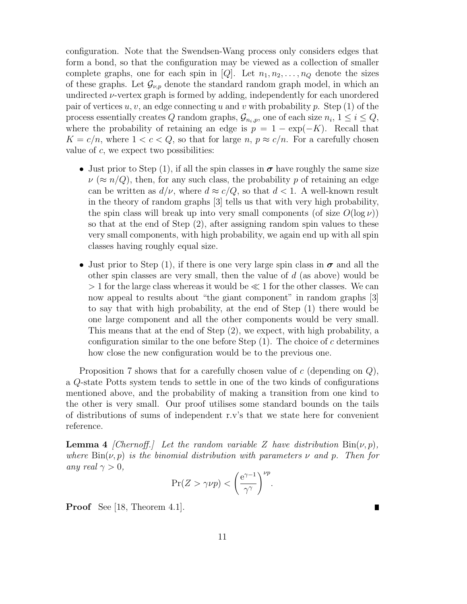configuration. Note that the Swendsen-Wang process only considers edges that form a bond, so that the configuration may be viewed as a collection of smaller complete graphs, one for each spin in [Q]. Let  $n_1, n_2, \ldots, n_Q$  denote the sizes of these graphs. Let  $\mathcal{G}_{\nu,p}$  denote the standard random graph model, in which an undirected *ν*-vertex graph is formed by adding, independently for each unordered pair of vertices  $u, v$ , an edge connecting u and v with probability p. Step (1) of the process essentially creates Q random graphs,  $\mathcal{G}_{n_i,p}$ , one of each size  $n_i$ ,  $1 \leq i \leq Q$ , where the probability of retaining an edge is  $p = 1 - \exp(-K)$ . Recall that  $K = c/n$ , where  $1 < c < Q$ , so that for large n,  $p \approx c/n$ . For a carefully chosen value of  $c$ , we expect two possibilities:

- Just prior to Step (1), if all the spin classes in  $\sigma$  have roughly the same size  $\nu (\approx n/Q)$ , then, for any such class, the probability p of retaining an edge can be written as  $d/\nu$ , where  $d \approx c/Q$ , so that  $d < 1$ . A well-known result in the theory of random graphs [3] tells us that with very high probability, the spin class will break up into very small components (of size  $O(\log \nu)$ ) so that at the end of Step (2), after assigning random spin values to these very small components, with high probability, we again end up with all spin classes having roughly equal size.
- Just prior to Step (1), if there is one very large spin class in  $\sigma$  and all the other spin classes are very small, then the value of  $d$  (as above) would be  $> 1$  for the large class whereas it would be  $\ll 1$  for the other classes. We can now appeal to results about "the giant component" in random graphs [3] to say that with high probability, at the end of Step (1) there would be one large component and all the other components would be very small. This means that at the end of Step (2), we expect, with high probability, a configuration similar to the one before Step  $(1)$ . The choice of c determines how close the new configuration would be to the previous one.

Proposition 7 shows that for a carefully chosen value of  $c$  (depending on  $Q$ ), a Q-state Potts system tends to settle in one of the two kinds of configurations mentioned above, and the probability of making a transition from one kind to the other is very small. Our proof utilises some standard bounds on the tails of distributions of sums of independent r.v's that we state here for convenient reference.

**Lemma 4** [Chernoff.] Let the random variable Z have distribution  $\text{Bin}(\nu, p)$ , where  $\text{Bin}(\nu, p)$  is the binomial distribution with parameters  $\nu$  and  $p$ . Then for any real  $\gamma > 0$ ,

$$
\Pr(Z > \gamma \nu p) < \left(\frac{\mathrm{e}^{\gamma - 1}}{\gamma^{\gamma}}\right)^{\nu p}.
$$

 $\blacksquare$ 

**Proof** See [18, Theorem 4.1].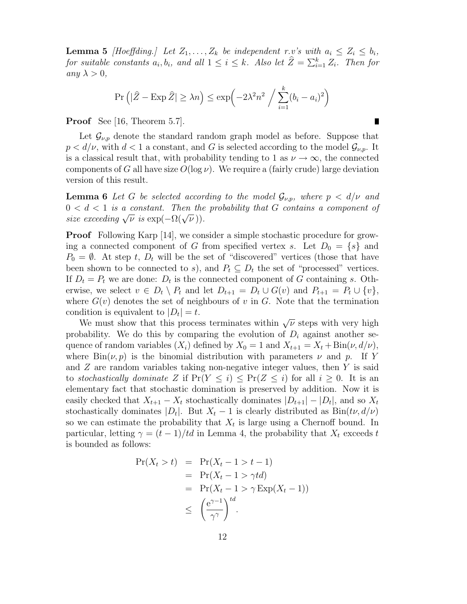**Lemma 5** [Hoeffding.] Let  $Z_1, \ldots, Z_k$  be independent r.v's with  $a_i \leq Z_i \leq b_i$ , for suitable constants  $a_i, b_i$ , and all  $1 \leq i \leq k$ . Also let  $\hat{Z} = \sum_{i=1}^k Z_i$ . Then for any  $\lambda > 0$ ,

$$
\Pr\left(|\widehat{Z} - \operatorname{Exp} \widehat{Z}| \ge \lambda n\right) \le \exp\left(-2\lambda^2 n^2 / \sum_{i=1}^k (b_i - a_i)^2\right)
$$

П

**Proof** See [16, Theorem 5.7].

Let  $\mathcal{G}_{\nu,p}$  denote the standard random graph model as before. Suppose that  $p < d/\nu$ , with  $d < 1$  a constant, and G is selected according to the model  $\mathcal{G}_{\nu,p}$ . It is a classical result that, with probability tending to 1 as  $\nu \rightarrow \infty$ , the connected components of G all have size  $O(\log \nu)$ . We require a (fairly crude) large deviation version of this result.

**Lemma 6** Let G be selected according to the model  $\mathcal{G}_{\nu,p}$ , where  $p < d/\nu$  and  $0 < d < 1$  is a constant. Then the probability that G contains a component of size exceeding  $\sqrt{\nu}$  is  $\exp(-\Omega(\sqrt{\nu}))$ .

**Proof** Following Karp [14], we consider a simple stochastic procedure for growing a connected component of G from specified vertex s. Let  $D_0 = \{s\}$  and  $P_0 = \emptyset$ . At step t,  $D_t$  will be the set of "discovered" vertices (those that have been shown to be connected to s), and  $P_t \subseteq D_t$  the set of "processed" vertices. If  $D_t = P_t$  we are done:  $D_t$  is the connected component of G containing s. Otherwise, we select  $v \in D_t \setminus P_t$  and let  $D_{t+1} = D_t \cup G(v)$  and  $P_{t+1} = P_t \cup \{v\}$ , where  $G(v)$  denotes the set of neighbours of v in G. Note that the termination condition is equivalent to  $|D_t| = t$ .

We must show that this process terminates within *<sup>√</sup>*<sup>ν</sup> steps with very high probability. We do this by comparing the evolution of  $D_i$  against another sequence of random variables  $(X_i)$  defined by  $X_0 = 1$  and  $X_{t+1} = X_t + \text{Bin}(\nu, d/\nu)$ , where  $\text{Bin}(\nu, p)$  is the binomial distribution with parameters  $\nu$  and  $p$ . If Y and  $Z$  are random variables taking non-negative integer values, then  $Y$  is said to stochastically dominate Z if  $Pr(Y \leq i) \leq Pr(Z \leq i)$  for all  $i \geq 0$ . It is an elementary fact that stochastic domination is preserved by addition. Now it is easily checked that  $X_{t+1} - X_t$  stochastically dominates  $|D_{t+1}| - |D_t|$ , and so  $X_t$ stochastically dominates  $|D_t|$ . But  $X_t - 1$  is clearly distributed as  $Bin(t\nu, d/\nu)$ so we can estimate the probability that  $X_t$  is large using a Chernoff bound. In particular, letting  $\gamma = (t-1)/td$  in Lemma 4, the probability that  $X_t$  exceeds t is bounded as follows:

$$
Pr(X_t > t) = Pr(X_t - 1 > t - 1)
$$
  
= Pr(X\_t - 1 > \gamma td)  
= Pr(X\_t - 1 > \gamma Exp(X\_t - 1))  

$$
\leq \left(\frac{e^{\gamma - 1}}{\gamma^{\gamma}}\right)^{td}.
$$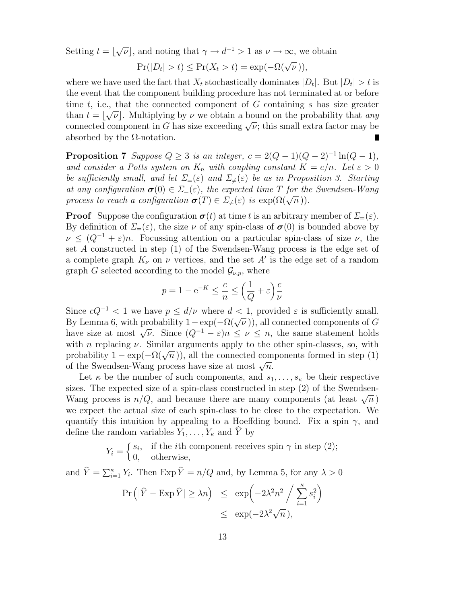Setting  $t = \lfloor \sqrt{\nu} \rfloor$ , and noting that  $\gamma \to d^{-1} > 1$  as  $\nu \to \infty$ , we obtain

$$
Pr(|D_t| > t) \leq Pr(X_t > t) = \exp(-\Omega(\sqrt{\nu})),
$$

where we have used the fact that  $X_t$  stochastically dominates  $|D_t|$ . But  $|D_t| > t$  is the event that the component building procedure has not terminated at or before time  $t$ , i.e., that the connected component of  $G$  containing  $s$  has size greater than  $t = \lfloor \sqrt{\nu} \rfloor$ . Multiplying by  $\nu$  we obtain a bound on the probability that *any* connected component in G has size exceeding  $\sqrt{\nu}$ ; this small extra factor may be absorbed by the  $\Omega$ -notation.

**Proposition 7** Suppose  $Q \geq 3$  is an integer,  $c = 2(Q - 1)(Q - 2)^{-1} \ln(Q - 1)$ , and consider a Potts system on  $K_n$  with coupling constant  $K = c/n$ . Let  $\varepsilon > 0$ be sufficiently small, and let  $\Sigma_{=}(\varepsilon)$  and  $\Sigma_{\neq}(\varepsilon)$  be as in Proposition 3. Starting at any configuration  $\sigma(0) \in \Sigma_{=}(\varepsilon)$ , the expected time T for the Swendsen-Wang process to reach a configuration  $\sigma(T) \in \Sigma_{\neq}(\varepsilon)$  is  $\exp(\Omega(\sqrt{n}))$ .

**Proof** Suppose the configuration  $\sigma(t)$  at time t is an arbitrary member of  $\Sigma_{=}(\varepsilon)$ . By definition of  $\Sigma=(\varepsilon)$ , the size  $\nu$  of any spin-class of  $\sigma(0)$  is bounded above by  $\nu \leq (Q^{-1} + \varepsilon)n$ . Focussing attention on a particular spin-class of size  $\nu$ , the set A constructed in step (1) of the Swendsen-Wang process is the edge set of a complete graph  $K_{\nu}$  on  $\nu$  vertices, and the set A' is the edge set of a random graph G selected according to the model  $\mathcal{G}_{\nu,p}$ , where

$$
p = 1 - e^{-K} \le \frac{c}{n} \le \left(\frac{1}{Q} + \varepsilon\right) \frac{c}{\nu}
$$

Since  $cQ^{-1}$  < 1 we have  $p \le d/\nu$  where  $d < 1$ , provided  $\varepsilon$  is sufficiently small. By Lemma 6, with probability  $1-\exp(-\Omega(\sqrt{\nu}))$ , all connected components of G have size at most  $\sqrt{\nu}$ . Since  $(Q^{-1} - \varepsilon)n \leq \nu \leq n$ , the same statement holds with *n* replacing  $\nu$ . Similar arguments apply to the other spin-classes, so, with probability  $1 - \exp(-\Omega(\sqrt{n}))$ , all the connected components formed in step (1) of the Swendsen-Wang process have size at most *<sup>√</sup>*n.

Let  $\kappa$  be the number of such components, and  $s_1, \ldots, s_{\kappa}$  be their respective sizes. The expected size of a spin-class constructed in step (2) of the Swendsen-Wang process is  $n/Q$ , and because there are many components (at least  $\sqrt{n}$ ) we expect the actual size of each spin-class to be close to the expectation. We quantify this intuition by appealing to a Hoeffding bound. Fix a spin  $\gamma$ , and define the random variables  $Y_1, \ldots, Y_{\kappa}$  and Y by

$$
Y_i = \begin{cases} s_i, & \text{if the } i \text{th component receives spin } \gamma \text{ in step (2);} \\ 0, & \text{otherwise,} \end{cases}
$$

and  $\hat{Y} = \sum_{i=1}^{\kappa} Y_i$ . Then  $\text{Exp}\,\hat{Y} = n/Q$  and, by Lemma 5, for any  $\lambda > 0$ 

$$
\Pr\left(|\hat{Y} - \operatorname{Exp}\hat{Y}| \ge \lambda n\right) \le \exp\left(-2\lambda^2 n^2 / \sum_{i=1}^{\kappa} s_i^2\right)
$$
  

$$
\le \exp(-2\lambda^2 \sqrt{n}),
$$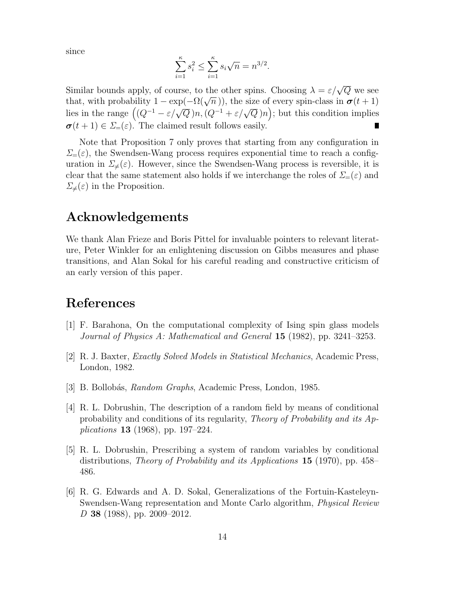since

$$
\sum_{i=1}^{k} s_i^2 \le \sum_{i=1}^{k} s_i \sqrt{n} = n^{3/2}.
$$

Similar bounds apply, of course, to the other spins. Choosing  $\lambda = \varepsilon/\sqrt{Q}$  we see that, with probability  $1 - \exp(-\Omega(\sqrt{n}))$ , the size of every spin-class in  $\sigma(t+1)$ lies in the range  $((Q^{-1} - \varepsilon/\sqrt{Q})n, (Q^{-1} + \varepsilon/\sqrt{Q})n)$ ; but this condition implies  $\sigma(t+1) \in \Sigma_{=}(\varepsilon)$ . The claimed result follows easily. П

Note that Proposition 7 only proves that starting from any configuration in  $\Sigma=(\varepsilon)$ , the Swendsen-Wang process requires exponential time to reach a configuration in  $\Sigma_{\neq}(\varepsilon)$ . However, since the Swendsen-Wang process is reversible, it is clear that the same statement also holds if we interchange the roles of  $\Sigma=(\varepsilon)$  and  $\Sigma_{\neq}(\varepsilon)$  in the Proposition.

# **Acknowledgements**

We thank Alan Frieze and Boris Pittel for invaluable pointers to relevant literature, Peter Winkler for an enlightening discussion on Gibbs measures and phase transitions, and Alan Sokal for his careful reading and constructive criticism of an early version of this paper.

# **References**

- [1] F. Barahona, On the computational complexity of Ising spin glass models Journal of Physics A: Mathematical and General **15** (1982), pp. 3241–3253.
- [2] R. J. Baxter, Exactly Solved Models in Statistical Mechanics, Academic Press, London, 1982.
- [3] B. Bollobás, *Random Graphs*, Academic Press, London, 1985.
- [4] R. L. Dobrushin, The description of a random field by means of conditional probability and conditions of its regularity, Theory of Probability and its Applications **13** (1968), pp. 197–224.
- [5] R. L. Dobrushin, Prescribing a system of random variables by conditional distributions, Theory of Probability and its Applications **15** (1970), pp. 458– 486.
- [6] R. G. Edwards and A. D. Sokal, Generalizations of the Fortuin-Kasteleyn-Swendsen-Wang representation and Monte Carlo algorithm, Physical Review D **38** (1988), pp. 2009–2012.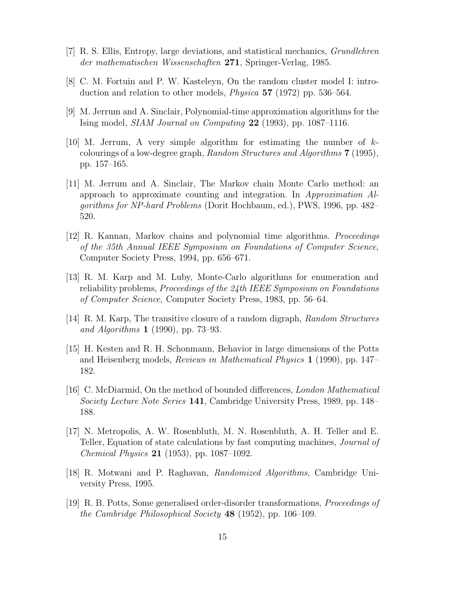- [7] R. S. Ellis, Entropy, large deviations, and statistical mechanics, Grundlehren der mathematischen Wissenschaften **271**, Springer-Verlag, 1985.
- [8] C. M. Fortuin and P. W. Kasteleyn, On the random cluster model I: introduction and relation to other models, Physica **57** (1972) pp. 536–564.
- [9] M. Jerrum and A. Sinclair, Polynomial-time approximation algorithms for the Ising model, SIAM Journal on Computing **22** (1993), pp. 1087–1116.
- [10] M. Jerrum, A very simple algorithm for estimating the number of kcolourings of a low-degree graph, Random Structures and Algorithms **7** (1995), pp. 157–165.
- [11] M. Jerrum and A. Sinclair, The Markov chain Monte Carlo method: an approach to approximate counting and integration. In Approximation Algorithms for NP-hard Problems (Dorit Hochbaum, ed.), PWS, 1996, pp. 482– 520.
- [12] R. Kannan, Markov chains and polynomial time algorithms. Proceedings of the 35th Annual IEEE Symposium on Foundations of Computer Science, Computer Society Press, 1994, pp. 656–671.
- [13] R. M. Karp and M. Luby, Monte-Carlo algorithms for enumeration and reliability problems, *Proceedings of the*  $24$ *th IEEE Symposium on Foundations* of Computer Science, Computer Society Press, 1983, pp. 56–64.
- [14] R. M. Karp, The transitive closure of a random digraph, Random Structures and Algorithms **1** (1990), pp. 73–93.
- [15] H. Kesten and R. H. Schonmann, Behavior in large dimensions of the Potts and Heisenberg models, Reviews in Mathematical Physics **1** (1990), pp. 147– 182.
- [16] C. McDiarmid, On the method of bounded differences, London Mathematical Society Lecture Note Series **141**, Cambridge University Press, 1989, pp. 148– 188.
- [17] N. Metropolis, A. W. Rosenbluth, M. N. Rosenbluth, A. H. Teller and E. Teller, Equation of state calculations by fast computing machines, Journal of Chemical Physics **21** (1953), pp. 1087–1092.
- [18] R. Motwani and P. Raghavan, Randomized Algorithms, Cambridge University Press, 1995.
- [19] R. B. Potts, Some generalised order-disorder transformations, Proceedings of the Cambridge Philosophical Society **48** (1952), pp. 106–109.